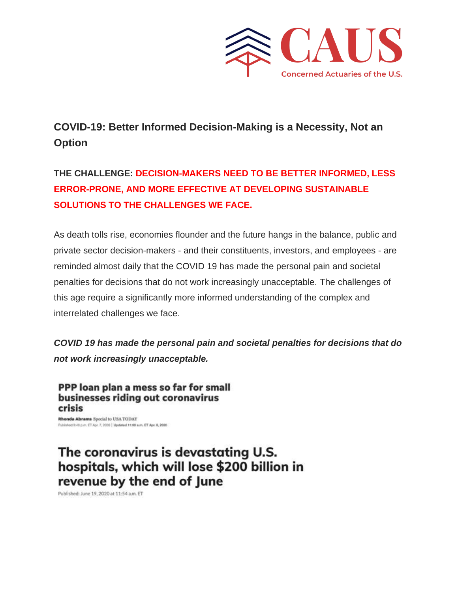

## **COVID-19: Better Informed Decision-Making is a Necessity, Not an Option**

## **THE CHALLENGE: DECISION-MAKERS NEED TO BE BETTER INFORMED, LESS ERROR-PRONE, AND MORE EFFECTIVE AT DEVELOPING SUSTAINABLE SOLUTIONS TO THE CHALLENGES WE FACE.**

As death tolls rise, economies flounder and the future hangs in the balance, public and private sector decision-makers - and their constituents, investors, and employees - are reminded almost daily that the COVID 19 has made the personal pain and societal penalties for decisions that do not work increasingly unacceptable. The challenges of this age require a significantly more informed understanding of the complex and interrelated challenges we face.

*COVID 19 has made the personal pain and societal penalties for decisions that do not work increasingly unacceptable.*

PPP loan plan a mess so far for small businesses riding out coronavirus crisis

Rhonda Abrams Special to USA TODAY Published S:40 p.m. ET.Apr. 7, 2020 | Updated 11:09 a.m. ET Apr. 6, 2020

The coronavirus is devastating U.S. hospitals, which will lose \$200 billion in revenue by the end of June

Published: June 19, 2020 at 11:54 a.m. ET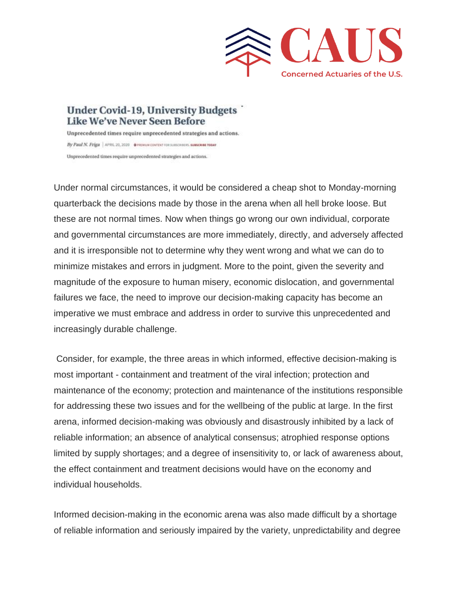

## **Under Covid-19, University Budgets** Like We've Never Seen Before

Unprecedented times require unprecedented strategies and actions. By Paul N. Friga | APRIL 20, 2020 . @ PREMUM CONTENT FOR SUBSCRIBERS SUBSCRIBE TODAY Unprecedented times require unprecedented strategies and actions.

Under normal circumstances, it would be considered a cheap shot to Monday-morning quarterback the decisions made by those in the arena when all hell broke loose. But these are not normal times. Now when things go wrong our own individual, corporate and governmental circumstances are more immediately, directly, and adversely affected and it is irresponsible not to determine why they went wrong and what we can do to minimize mistakes and errors in judgment. More to the point, given the severity and magnitude of the exposure to human misery, economic dislocation, and governmental failures we face, the need to improve our decision-making capacity has become an imperative we must embrace and address in order to survive this unprecedented and increasingly durable challenge.

Consider, for example, the three areas in which informed, effective decision-making is most important - containment and treatment of the viral infection; protection and maintenance of the economy; protection and maintenance of the institutions responsible for addressing these two issues and for the wellbeing of the public at large. In the first arena, informed decision-making was obviously and disastrously inhibited by a lack of reliable information; an absence of analytical consensus; atrophied response options limited by supply shortages; and a degree of insensitivity to, or lack of awareness about, the effect containment and treatment decisions would have on the economy and individual households.

Informed decision-making in the economic arena was also made difficult by a shortage of reliable information and seriously impaired by the variety, unpredictability and degree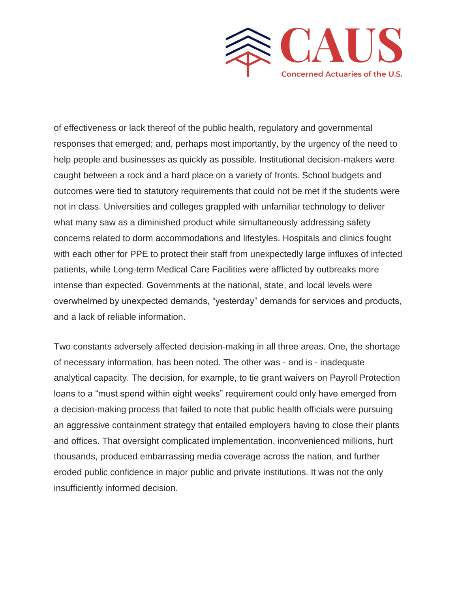

of effectiveness or lack thereof of the public health, regulatory and governmental responses that emerged; and, perhaps most importantly, by the urgency of the need to help people and businesses as quickly as possible. Institutional decision-makers were caught between a rock and a hard place on a variety of fronts. School budgets and outcomes were tied to statutory requirements that could not be met if the students were not in class. Universities and colleges grappled with unfamiliar technology to deliver what many saw as a diminished product while simultaneously addressing safety concerns related to dorm accommodations and lifestyles. Hospitals and clinics fought with each other for PPE to protect their staff from unexpectedly large influxes of infected patients, while Long-term Medical Care Facilities were afflicted by outbreaks more intense than expected. Governments at the national, state, and local levels were overwhelmed by unexpected demands, "yesterday" demands for services and products, and a lack of reliable information.

Two constants adversely affected decision-making in all three areas. One, the shortage of necessary information, has been noted. The other was - and is - inadequate analytical capacity. The decision, for example, to tie grant waivers on Payroll Protection loans to a "must spend within eight weeks" requirement could only have emerged from a decision-making process that failed to note that public health officials were pursuing an aggressive containment strategy that entailed employers having to close their plants and offices. That oversight complicated implementation, inconvenienced millions, hurt thousands, produced embarrassing media coverage across the nation, and further eroded public confidence in major public and private institutions. It was not the only insufficiently informed decision.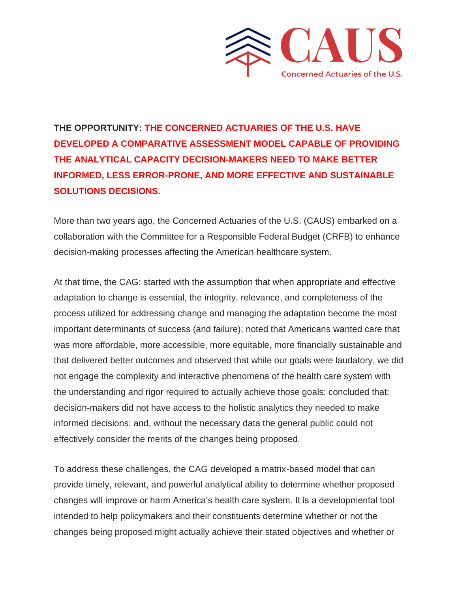

**THE OPPORTUNITY: THE CONCERNED ACTUARIES OF THE U.S. HAVE DEVELOPED A COMPARATIVE ASSESSMENT MODEL CAPABLE OF PROVIDING THE ANALYTICAL CAPACITY DECISION-MAKERS NEED TO MAKE BETTER INFORMED, LESS ERROR-PRONE, AND MORE EFFECTIVE AND SUSTAINABLE SOLUTIONS DECISIONS.** 

More than two years ago, the Concerned Actuaries of the U.S. (CAUS) embarked on a collaboration with the Committee for a Responsible Federal Budget (CRFB) to enhance decision-making processes affecting the American healthcare system.

At that time, the CAG: started with the assumption that when appropriate and effective adaptation to change is essential, the integrity, relevance, and completeness of the process utilized for addressing change and managing the adaptation become the most important determinants of success (and failure); noted that Americans wanted care that was more affordable, more accessible, more equitable, more financially sustainable and that delivered better outcomes and observed that while our goals were laudatory, we did not engage the complexity and interactive phenomena of the health care system with the understanding and rigor required to actually achieve those goals; concluded that: decision-makers did not have access to the holistic analytics they needed to make informed decisions; and, without the necessary data the general public could not effectively consider the merits of the changes being proposed.

To address these challenges, the CAG developed a matrix-based model that can provide timely, relevant, and powerful analytical ability to determine whether proposed changes will improve or harm America's health care system. It is a developmental tool intended to help policymakers and their constituents determine whether or not the changes being proposed might actually achieve their stated objectives and whether or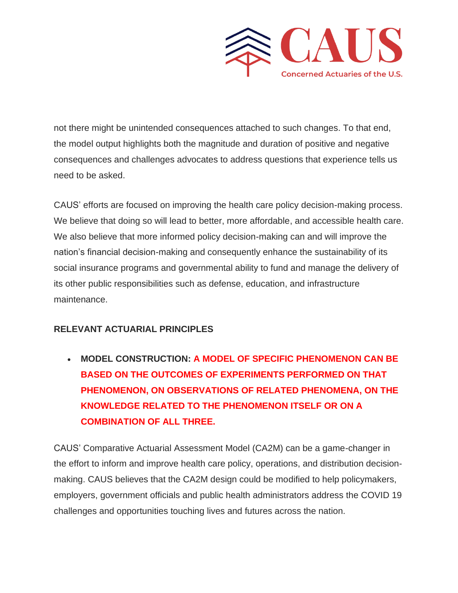

not there might be unintended consequences attached to such changes. To that end, the model output highlights both the magnitude and duration of positive and negative consequences and challenges advocates to address questions that experience tells us need to be asked.

CAUS' efforts are focused on improving the health care policy decision-making process. We believe that doing so will lead to better, more affordable, and accessible health care. We also believe that more informed policy decision-making can and will improve the nation's financial decision-making and consequently enhance the sustainability of its social insurance programs and governmental ability to fund and manage the delivery of its other public responsibilities such as defense, education, and infrastructure maintenance.

## **RELEVANT ACTUARIAL PRINCIPLES**

• **MODEL CONSTRUCTION: A MODEL OF SPECIFIC PHENOMENON CAN BE BASED ON THE OUTCOMES OF EXPERIMENTS PERFORMED ON THAT PHENOMENON, ON OBSERVATIONS OF RELATED PHENOMENA, ON THE KNOWLEDGE RELATED TO THE PHENOMENON ITSELF OR ON A COMBINATION OF ALL THREE.**

CAUS' Comparative Actuarial Assessment Model (CA2M) can be a game-changer in the effort to inform and improve health care policy, operations, and distribution decisionmaking. CAUS believes that the CA2M design could be modified to help policymakers, employers, government officials and public health administrators address the COVID 19 challenges and opportunities touching lives and futures across the nation.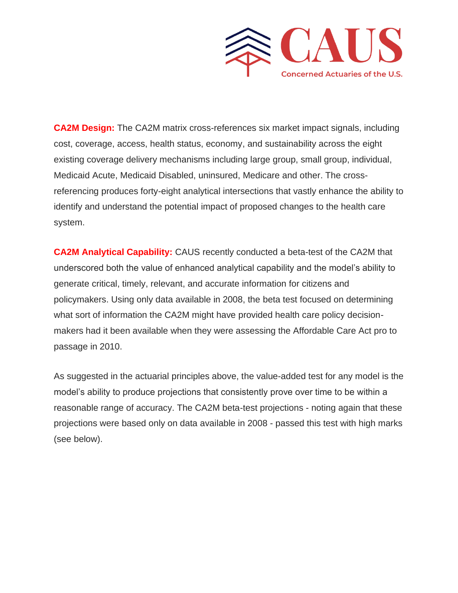

**CA2M Design:** The CA2M matrix cross-references six market impact signals, including cost, coverage, access, health status, economy, and sustainability across the eight existing coverage delivery mechanisms including large group, small group, individual, Medicaid Acute, Medicaid Disabled, uninsured, Medicare and other. The crossreferencing produces forty-eight analytical intersections that vastly enhance the ability to identify and understand the potential impact of proposed changes to the health care system.

**CA2M Analytical Capability:** CAUS recently conducted a beta-test of the CA2M that underscored both the value of enhanced analytical capability and the model's ability to generate critical, timely, relevant, and accurate information for citizens and policymakers. Using only data available in 2008, the beta test focused on determining what sort of information the CA2M might have provided health care policy decisionmakers had it been available when they were assessing the Affordable Care Act pro to passage in 2010.

As suggested in the actuarial principles above, the value-added test for any model is the model's ability to produce projections that consistently prove over time to be within a reasonable range of accuracy. The CA2M beta-test projections - noting again that these projections were based only on data available in 2008 - passed this test with high marks (see below).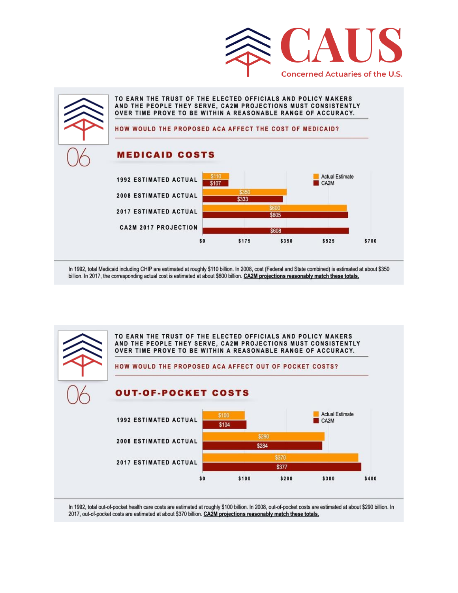



In 1992, total Medicaid including CHIP are estimated at roughly \$110 billion. In 2008, cost (Federal and State combined) is estimated at about \$350 billion. In 2017, the corresponding actual cost is estimated at about \$600 billion. CA2M projections reasonably match these totals.



In 1992, total out-of-pocket health care costs are estimated at roughly \$100 billion. In 2008, out-of-pocket costs are estimated at about \$290 billion. In 2017, out-of-pocket costs are estimated at about \$370 billion. CA2M projections reasonably match these totals.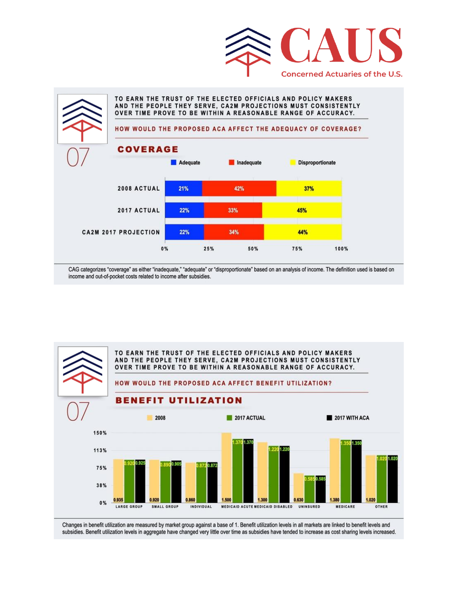



CAG categorizes "coverage" as either "inadequate," "adequate" or "disproportionate" based on an analysis of income. The definition used is based on income and out-of-pocket costs related to income after subsidies.



Changes in benefit utilization are measured by market group against a base of 1. Benefit utilization levels in all markets are linked to benefit levels and subsidies. Benefit utilization levels in aggregate have changed very little over time as subsidies have tended to increase as cost sharing levels increased.